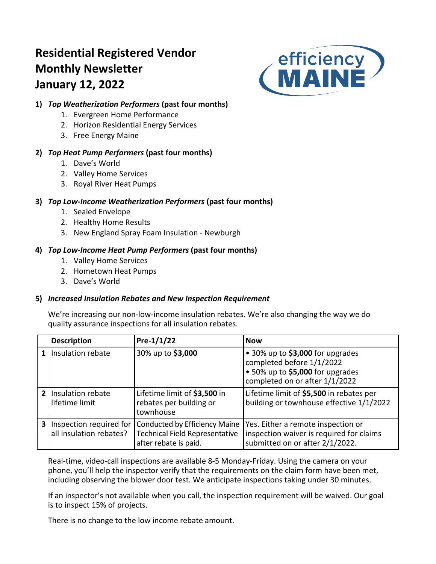# **Residential Registered Vendor Monthly Newsletter January 12, 2022**



# **1)** *Top Weatherization Performers* **(past four months)**

- 1. Evergreen Home Performance
- 2. Horizon Residential Energy Services
- 3. Free Energy Maine

# **2)** *Top Heat Pump Performers* **(past four months)**

- 1. Dave's World
- 2. Valley Home Services
- 3. Royal River Heat Pumps

# **3)** *Top Low-Income Weatherization Performers* **(past four months)**

- 1. Sealed Envelope
- 2. Healthy Home Results
- 3. New England Spray Foam Insulation Newburgh

# **4)** *Top Low-Income Heat Pump Performers* **(past four months)**

- 1. Valley Home Services
- 2. Hometown Heat Pumps
- 3. Dave's World

## **5)** *Increased Insulation Rebates and New Inspection Requirement*

We're increasing our non-low-income insulation rebates. We're also changing the way we do quality assurance inspections for all insulation rebates.

| <b>Description</b>                                          | Pre- $1/1/22$                                                                                   | <b>Now</b>                                                                                                                          |
|-------------------------------------------------------------|-------------------------------------------------------------------------------------------------|-------------------------------------------------------------------------------------------------------------------------------------|
| Insulation rebate                                           | 30% up to \$3,000                                                                               | • 30% up to \$3,000 for upgrades<br>completed before 1/1/2022<br>• 50% up to \$5,000 for upgrades<br>completed on or after 1/1/2022 |
| 2 Insulation rebate<br>lifetime limit                       | Lifetime limit of \$3,500 in<br>rebates per building or<br>townhouse                            | Lifetime limit of \$5,500 in rebates per<br>building or townhouse effective 1/1/2022                                                |
| <b>3</b> Inspection required for<br>all insulation rebates? | Conducted by Efficiency Maine<br><b>Technical Field Representative</b><br>after rebate is paid. | Yes. Either a remote inspection or<br>inspection waiver is required for claims<br>submitted on or after 2/1/2022.                   |

Real-time, video-call inspections are available 8-5 Monday-Friday. Using the camera on your phone, you'll help the inspector verify that the requirements on the claim form have been met, including observing the blower door test. We anticipate inspections taking under 30 minutes.

If an inspector's not available when you call, the inspection requirement will be waived. Our goal is to inspect 15% of projects.

There is no change to the low income rebate amount.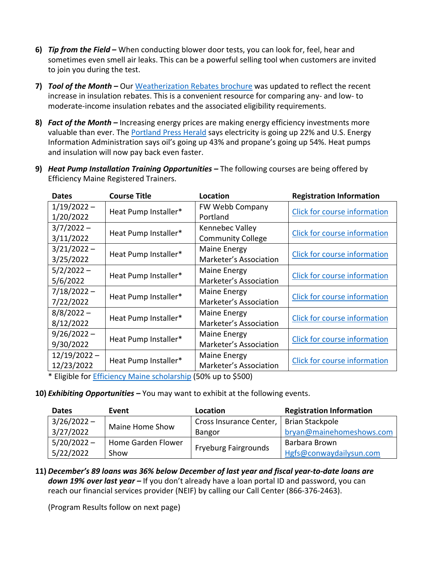- **6)** *Tip from the Field* **–** When conducting blower door tests, you can look for, feel, hear and sometimes even smell air leaks. This can be a powerful selling tool when customers are invited to join you during the test.
- **7)** *Tool of the Month –* Our [Weatherization Rebates brochure](https://www.efficiencymaine.com/docs/Weatherization-Rebate-Brochure.pdf) was updated to reflect the recent increase in insulation rebates. This is a convenient resource for comparing any- and low- to moderate-income insulation rebates and the associated eligibility requirements.
- **8)** *Fact of the Month –* Increasing energy prices are making energy efficiency investments more valuable than ever. The **Portland Press Herald** says electricity is going up 22% and U.S. Energy Information Administration says oil's going up 43% and propane's going up 54%. Heat pumps and insulation will now pay back even faster.
- **9)** *Heat Pump Installation Training Opportunities –* The following courses are being offered by Efficiency Maine Registered Trainers.

| <b>Dates</b>   | <b>Course Title</b>  | Location                 | <b>Registration Information</b>     |  |  |
|----------------|----------------------|--------------------------|-------------------------------------|--|--|
| $1/19/2022 -$  | Heat Pump Installer* | FW Webb Company          | Click for course information        |  |  |
| 1/20/2022      |                      | Portland                 |                                     |  |  |
| $3/7/2022 -$   | Heat Pump Installer* | Kennebec Valley          | <b>Click for course information</b> |  |  |
| 3/11/2022      |                      | <b>Community College</b> |                                     |  |  |
| $3/21/2022 -$  |                      | Maine Energy             |                                     |  |  |
| 3/25/2022      | Heat Pump Installer* | Marketer's Association   | <b>Click for course information</b> |  |  |
| $5/2/2022 -$   | Heat Pump Installer* | Maine Energy             | Click for course information        |  |  |
| 5/6/2022       |                      | Marketer's Association   |                                     |  |  |
| $7/18/2022 -$  |                      | Maine Energy             |                                     |  |  |
| 7/22/2022      | Heat Pump Installer* | Marketer's Association   | <b>Click for course information</b> |  |  |
| $8/8/2022 -$   |                      | Maine Energy             |                                     |  |  |
| 8/12/2022      | Heat Pump Installer* | Marketer's Association   | <b>Click for course information</b> |  |  |
| $9/26/2022 -$  |                      | Maine Energy             |                                     |  |  |
| 9/30/2022      | Heat Pump Installer* | Marketer's Association   | Click for course information        |  |  |
| $12/19/2022 -$ |                      | Maine Energy             |                                     |  |  |
| 12/23/2022     | Heat Pump Installer* | Marketer's Association   | Click for course information        |  |  |
|                |                      |                          |                                     |  |  |

\* Eligible for [Efficiency Maine scholarship](https://www.efficiencymaine.com/docs/RRV-Scholarship-Application.pdf) (50% up to \$500)

**10)** *Exhibiting Opportunities –* You may want to exhibit at the following events.

| <b>Dates</b>  | Event              | Location                    | <b>Registration Information</b> |  |  |
|---------------|--------------------|-----------------------------|---------------------------------|--|--|
| $3/26/2022 -$ | Maine Home Show    | Cross Insurance Center,     | <b>Brian Stackpole</b>          |  |  |
| 3/27/2022     |                    | Bangor                      | bryan@mainehomeshows.com        |  |  |
| $5/20/2022 -$ | Home Garden Flower |                             | Barbara Brown                   |  |  |
| 5/22/2022     | Show               | <b>Fryeburg Fairgrounds</b> | Hgfs@conwaydailysun.com         |  |  |

**11)** *December's 89 loans was 36% below December of last year and fiscal year-to-date loans are down 19% over last year –* If you don't already have a loan portal ID and password, you can reach our financial services provider (NEIF) by calling our Call Center (866-376-2463).

(Program Results follow on next page)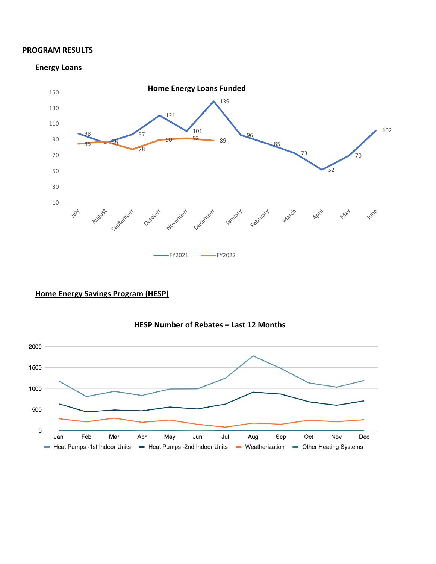#### **PROGRAM RESULTS**

#### **Energy Loans**



## **Home Energy Savings Program (HESP)**



### **HESP Number of Rebates – Last 12 Months**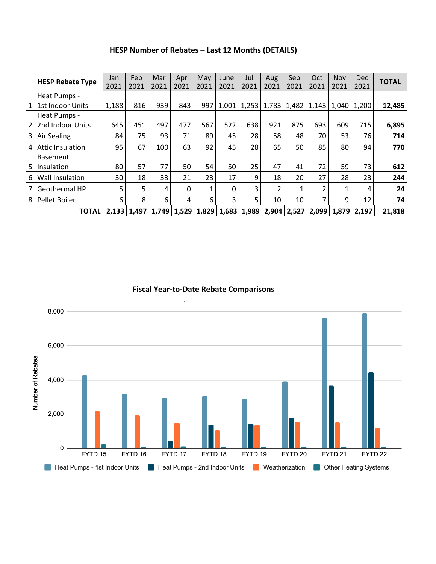| HESP Number of Rebates - Last 12 Months (DETAILS) |  |
|---------------------------------------------------|--|
|---------------------------------------------------|--|

|     | <b>HESP Rebate Type</b>          | Jan<br>2021 | Feb<br>2021 | Mar<br>2021 | Apr<br>2021 | May<br>2021 | June<br>2021 | Jul<br>2021 | Aug<br>2021                                                                   | Sep<br>2021     | Oct<br>2021    | <b>Nov</b><br>2021 | <b>Dec</b><br>2021                    | <b>TOTAL</b> |
|-----|----------------------------------|-------------|-------------|-------------|-------------|-------------|--------------|-------------|-------------------------------------------------------------------------------|-----------------|----------------|--------------------|---------------------------------------|--------------|
|     | Heat Pumps -<br>1st Indoor Units | 1,188       | 816         | 939         | 843         | 997         | 1,001        | 1,253       |                                                                               |                 |                |                    | 1,783   1,482   1,143   1,040   1,200 | 12,485       |
|     | Heat Pumps -<br>2nd Indoor Units | 645         | 451         | 497         | 477         | 567         | 522          | 638         | 921                                                                           | 875             | 693            | 609                | 715                                   | 6,895        |
| 3 I | Air Sealing                      | 84          | 75          | 93          | 71          | 89          | 45           | 28          | 58                                                                            | 48              | 70             | 53                 | 76                                    | 714          |
| 4   | <b>Attic Insulation</b>          | 95          | 67          | 100         | 63          | 92          | 45           | 28          | 65                                                                            | 50 l            | 85             | 80                 | 94                                    | 770          |
| 5.  | <b>Basement</b><br>Insulation    | 80          | 57          | 77          | 50          | 54          | 50           | 25          | 47                                                                            | 41              | 72             | 59                 | 73                                    | 612          |
| 6   | Wall Insulation                  | 30          | 18          | 33          | 21          | 23          | 17           | 9           | 18                                                                            | 20 <sub>1</sub> | 27             | 28                 | 23                                    | 244          |
|     | Geothermal HP                    | 5           | 5           | 4           | 0           | 1           | 0            | 3           | 2                                                                             | 1               | $\overline{2}$ |                    | 4                                     | 24           |
| 8   | Pellet Boiler                    | 6           | 8           | 6           | 4           | 6           | 3            | 5           | 10                                                                            | 10 <sub>1</sub> | 7              | 9                  | 12                                    | 74           |
|     | <b>TOTAL</b>                     |             |             |             |             |             |              |             | 2,133   1,497   1,749   1,529   1,829   1,683   1,989   2,904   2,527   2,099 |                 |                |                    | $1,879$ 2,197                         | 21,818       |

**Fiscal Year-to-Date Rebate Comparisons**

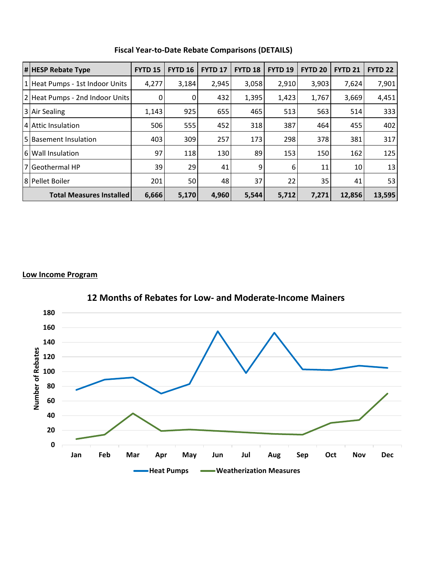| <b>#HESP Rebate Type</b>        | <b>FYTD 15</b> | <b>FYTD 16</b> | <b>FYTD 17</b> | <b>FYTD 18</b> | <b>FYTD 19</b> | <b>FYTD 20</b> | <b>FYTD 21</b> | <b>FYTD 22</b> |
|---------------------------------|----------------|----------------|----------------|----------------|----------------|----------------|----------------|----------------|
| 1 Heat Pumps - 1st Indoor Units | 4,277          | 3,184          | 2,945          | 3,058          | 2,910          | 3,903          | 7,624          | 7,901          |
| 2 Heat Pumps - 2nd Indoor Units | 0              | 0              | 432            | 1,395          | 1,423          | 1,767          | 3,669          | 4,451          |
| 3 Air Sealing                   | 1,143          | 925            | 655            | 465            | 513            | 563            | 514            | 333            |
| 4 Attic Insulation              | 506            | 555            | 452            | 318            | 387            | 464            | 455            | 402            |
| 5 Basement Insulation           | 403            | 309            | 257            | 173            | 298            | 378            | 381            | 317            |
| 6 Wall Insulation               | 97             | 118            | 130            | 89             | 153            | 150            | 162            | 125            |
| 7 Geothermal HP                 | 39             | 29             | 41             | 9              | 6              | 11             | 10             | 13             |
| 8 Pellet Boiler                 | 201            | 50             | 48             | 37             | 22             | 35             | 41             | 53             |
| <b>Total Measures Installed</b> | 6,666          | 5,170          | 4,960          | 5,544          | 5,712          | 7,271          | 12,856         | 13,595         |

## **Fiscal Year-to-Date Rebate Comparisons (DETAILS)**

#### **Low Income Program**



**12 Months of Rebates for Low- and Moderate-Income Mainers**